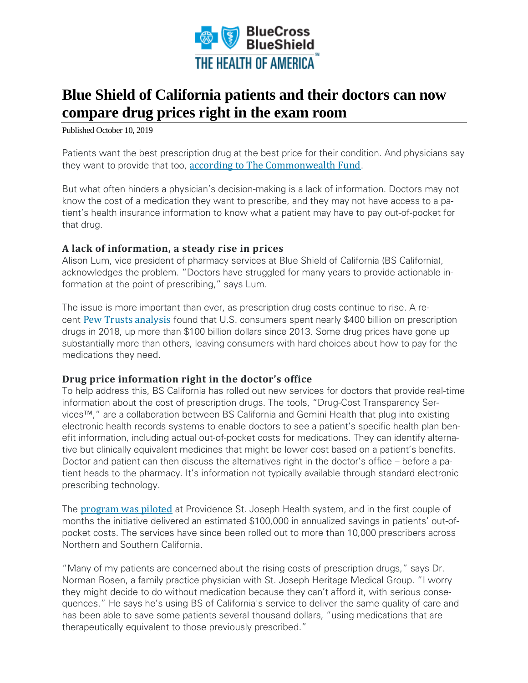

## **Blue Shield of California patients and their doctors can now compare drug prices right in the exam room**

Published October 10, 2019

Patients want the best prescription drug at the best price for their condition. And physicians say they want to provide that too, according to The [Commonwealth](https://www.commonwealthfund.org/blog/2019/how-physicians-can-help-reduce-wasteful-drug-spending) Fund.

But what often hinders a physician's decision-making is a lack of information. Doctors may not know the cost of a medication they want to prescribe, and they may not have access to a patient's health insurance information to know what a patient may have to pay out-of-pocket for that drug.

## **A lack of information, a steady rise in prices**

Alison Lum, vice president of pharmacy services at Blue Shield of California (BS California), acknowledges the problem. "Doctors have struggled for many years to provide actionable information at the point of prescribing," says Lum.

The issue is more important than ever, as prescription drug costs continue to rise. A recent Pew Trusts [analysis](https://www.pewtrusts.org/en/research-and-analysis/fact-sheets/2018/02/a-look-at-drug-spending-in-the-us) found that U.S. consumers spent nearly \$400 billion on prescription drugs in 2018, up more than \$100 billion dollars since 2013. Some drug prices have gone up substantially more than others, leaving consumers with hard choices about how to pay for the medications they need.

## **Drug price information right in the doctor's office**

To help address this, BS California has rolled out new services for doctors that provide real-time information about the cost of prescription drugs. The tools, "Drug-Cost Transparency Services™," are a collaboration between BS California and Gemini Health that plug into existing electronic health records systems to enable doctors to see a patient's specific health plan benefit information, including actual out-of-pocket costs for medications. They can identify alternative but clinically equivalent medicines that might be lower cost based on a patient's benefits. Doctor and patient can then discuss the alternatives right in the doctor's office – before a patient heads to the pharmacy. It's information not typically available through standard electronic prescribing technology.

The [program](https://news.blueshieldca.com/2019/06/27/providence-st-joseph-health-collaboration-with-blue-shield-of-california-and-gemini-health-delivers-immediate-drug-cost-savings-for-patients?utm_source=hoacom&utm_medium=article&utm_campaign=hoastorytelling) was piloted at Providence St. Joseph Health system, and in the first couple of months the initiative delivered an estimated \$100,000 in annualized savings in patients' out-ofpocket costs. The services have since been rolled out to more than 10,000 prescribers across Northern and Southern California.

"Many of my patients are concerned about the rising costs of prescription drugs," says Dr. Norman Rosen, a family practice physician with St. Joseph Heritage Medical Group. "I worry they might decide to do without medication because they can't afford it, with serious consequences." He says he's using BS of California's service to deliver the same quality of care and has been able to save some patients several thousand dollars, "using medications that are therapeutically equivalent to those previously prescribed."